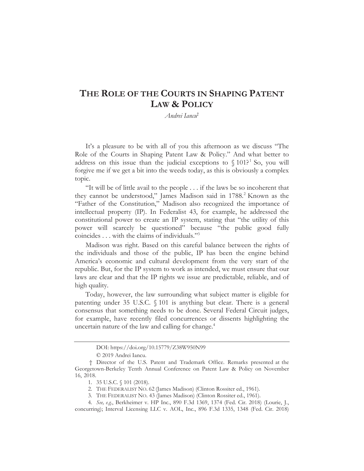# **THE ROLE OF THE COURTS IN SHAPING PATENT LAW & POLICY**

*Andrei Iancu*†

It's a pleasure to be with all of you this afternoon as we discuss "The Role of the Courts in Shaping Patent Law & Policy." And what better to address on this issue than the judicial exceptions to  $\S 101$ <sup>21</sup> So, you will forgive me if we get a bit into the weeds today, as this is obviously a complex topic.

"It will be of little avail to the people . . . if the laws be so incoherent that they cannot be understood," James Madison said in 1788.<sup>2</sup> Known as the "Father of the Constitution," Madison also recognized the importance of intellectual property (IP). In Federalist 43, for example, he addressed the constitutional power to create an IP system, stating that "the utility of this power will scarcely be questioned" because "the public good fully coincides . . . with the claims of individuals."3

Madison was right. Based on this careful balance between the rights of the individuals and those of the public, IP has been the engine behind America's economic and cultural development from the very start of the republic. But, for the IP system to work as intended, we must ensure that our laws are clear and that the IP rights we issue are predictable, reliable, and of high quality.

Today, however, the law surrounding what subject matter is eligible for patenting under 35 U.S.C. § 101 is anything but clear. There is a general consensus that something needs to be done. Several Federal Circuit judges, for example, have recently filed concurrences or dissents highlighting the uncertain nature of the law and calling for change.<sup>4</sup>

DOI: https://doi.org/10.15779/Z38W950N99

<sup>© 2019</sup> Andrei Iancu.

<sup>†</sup> Director of the U.S. Patent and Trademark Office. Remarks presented at the Georgetown-Berkeley Tenth Annual Conference on Patent Law & Policy on November 16, 2018.

<sup>1. 35</sup> U.S.C. § 101 (2018).

<sup>2.</sup> THE FEDERALIST NO. 62 (James Madison) (Clinton Rossiter ed., 1961).

<sup>3.</sup> THE FEDERALIST NO. 43 (James Madison) (Clinton Rossiter ed., 1961).

<sup>4.</sup> *See, e.g.*, Berkheimer v. HP Inc., 890 F.3d 1369, 1374 (Fed. Cir. 2018) (Lourie, J., concurring); Interval Licensing LLC v. AOL, Inc., 896 F.3d 1335, 1348 (Fed. Cir. 2018)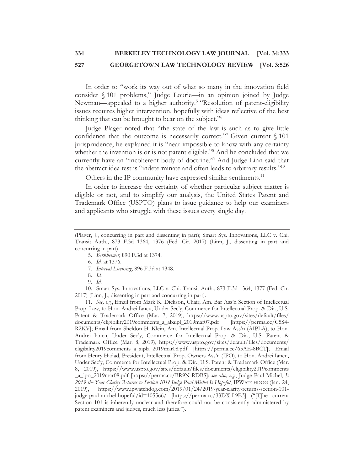In order to "work its way out of what so many in the innovation field consider § 101 problems," Judge Lourie—in an opinion joined by Judge Newman—appealed to a higher authority.<sup>5</sup> "Resolution of patent-eligibility issues requires higher intervention, hopefully with ideas reflective of the best thinking that can be brought to bear on the subject."6

Judge Plager noted that "the state of the law is such as to give little confidence that the outcome is necessarily correct."<sup>7</sup> Given current  $\S$  101 jurisprudence, he explained it is "near impossible to know with any certainty whether the invention is or is not patent eligible."<sup>8</sup> And he concluded that we currently have an "incoherent body of doctrine."9 And Judge Linn said that the abstract idea test is "indeterminate and often leads to arbitrary results."10

Others in the IP community have expressed similar sentiments.<sup>11</sup>

In order to increase the certainty of whether particular subject matter is eligible or not, and to simplify our analysis, the United States Patent and Trademark Office (USPTO) plans to issue guidance to help our examiners and applicants who struggle with these issues every single day.

7. *Interval Licensing*, 896 F.3d at 1348.

10. Smart Sys. Innovations, LLC v. Chi. Transit Auth., 873 F.3d 1364, 1377 (Fed. Cir. 2017) (Linn, J., dissenting in part and concurring in part).

11. *See, e.g.*, Email from Mark K. Dickson, Chair, Am. Bar Ass'n Section of Intellectual Prop. Law, to Hon. Andrei Iancu, Under Sec'y, Commerce for Intellectual Prop. & Dir., U.S. Patent & Trademark Office (Mar. 7, 2019), https://www.uspto.gov/sites/default/files/ documents/eligibility2019comments\_a\_abaipl\_2019mar07.pdf [https://perma.cc/C5S4- R2KV]; Email from Sheldon H. Klein, Am. Intellectual Prop. Law Ass'n (AIPLA), to Hon. Andrei Iancu, Under Sec'y, Commerce for Intellectual Prop. & Dir., U.S. Patent & Trademark Office (Mar. 8, 2019), https://www.uspto.gov/sites/default/files/documents/ eligibility2019comments\_a\_aipla\_2019mar08.pdf [https://perma.cc/65AE-8BCT]; Email from Henry Hadad, President, Intellectual Prop. Owners Ass'n (IPO), to Hon. Andrei Iancu, Under Sec'y, Commerce for Intellectual Prop. & Dir., U.S. Patent & Trademark Office (Mar. 8, 2019), https://www.uspto.gov/sites/default/files/documents/eligibility2019comments \_a\_ipo\_2019mar08.pdf [https://perma.cc/BR9N-RDBS]; *see also, e.g.*, Judge Paul Michel, *Is 2019 the Year Clarity Returns to Section 101? Judge Paul Michel Is Hopeful*, IPWATCHDOG (Jan. 24, 2019), https://www.ipwatchdog.com/2019/01/24/2019-year-clarity-returns-section-101 judge-paul-michel-hopeful/id=105566/ [https://perma.cc/33DX-L9E3] ("[T]he current Section 101 is inherently unclear and therefore could not be consistently administered by patent examiners and judges, much less juries.").

<sup>(</sup>Plager, J., concurring in part and dissenting in part); Smart Sys. Innovations, LLC v. Chi. Transit Auth., 873 F.3d 1364, 1376 (Fed. Cir. 2017) (Linn, J., dissenting in part and concurring in part).

<sup>5.</sup> *Berkheimer*, 890 F.3d at 1374.

<sup>6.</sup> *Id.* at 1376.

<sup>8.</sup> *Id.*

<sup>9.</sup> *Id.*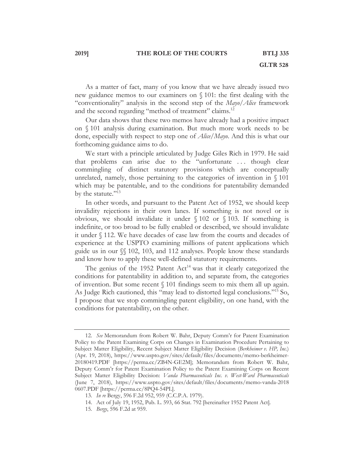#### **2019] THE ROLE OF THE COURTS BTLJ 335**

As a matter of fact, many of you know that we have already issued two new guidance memos to our examiners on § 101: the first dealing with the "conventionality" analysis in the second step of the *Mayo*/*Alice* framework and the second regarding "method of treatment" claims.<sup>12</sup>

Our data shows that these two memos have already had a positive impact on § 101 analysis during examination. But much more work needs to be done, especially with respect to step one of *Alice*/*Mayo*. And this is what our forthcoming guidance aims to do.

We start with a principle articulated by Judge Giles Rich in 1979. He said that problems can arise due to the "unfortunate . . . though clear commingling of distinct statutory provisions which are conceptually unrelated, namely, those pertaining to the categories of invention in § 101 which may be patentable, and to the conditions for patentability demanded by the statute."<sup>13</sup>

In other words, and pursuant to the Patent Act of 1952, we should keep invalidity rejections in their own lanes. If something is not novel or is obvious, we should invalidate it under  $\setminus$  102 or  $\setminus$  103. If something is indefinite, or too broad to be fully enabled or described, we should invalidate it under § 112. We have decades of case law from the courts and decades of experience at the USPTO examining millions of patent applications which guide us in our §§ 102, 103, and 112 analyses. People know these standards and know how to apply these well-defined statutory requirements.

The genius of the 1952 Patent  $Act^{14}$  was that it clearly categorized the conditions for patentability in addition to, and separate from, the categories of invention. But some recent § 101 findings seem to mix them all up again. As Judge Rich cautioned, this "may lead to distorted legal conclusions."15 So, I propose that we stop commingling patent eligibility, on one hand, with the conditions for patentability, on the other.

<sup>12.</sup> *See* Memorandum from Robert W. Bahr, Deputy Comm'r for Patent Examination Policy to the Patent Examining Corps on Changes in Examination Procedure Pertaining to Subject Matter Eligibility, Recent Subject Matter Eligibility Decision (*Berkheimer v. HP, Inc.*) (Apr. 19, 2018), https://www.uspto.gov/sites/default/files/documents/memo-berkheimer-20180419.PDF [https://perma.cc/ZB4N-GE2M]; Memorandum from Robert W. Bahr, Deputy Comm'r for Patent Examination Policy to the Patent Examining Corps on Recent Subject Matter Eligibility Decision: *Vanda Pharmaceuticals Inc. v. West-Ward Pharmaceuticals* (June 7, 2018), https://www.uspto.gov/sites/default/files/documents/memo-vanda-2018 0607.PDF [https://perma.cc/8PQ4-54PL].

<sup>13.</sup> *In re* Bergy, 596 F.2d 952, 959 (C.C.P.A. 1979).

<sup>14.</sup> Act of July 19, 1952, Pub. L. 593, 66 Stat. 792 [hereinafter 1952 Patent Act].

<sup>15</sup>*. Bergy*, 596 F.2d at 959.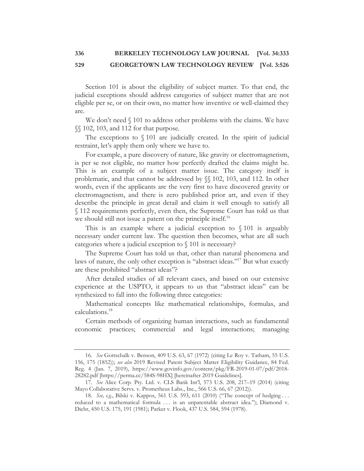Section 101 is about the eligibility of subject matter. To that end, the judicial exceptions should address categories of subject matter that are not eligible per se, or on their own, no matter how inventive or well-claimed they are.

We don't need  $\S$  101 to address other problems with the claims. We have §§ 102, 103, and 112 for that purpose.

The exceptions to  $\sqrt{101}$  are judicially created. In the spirit of judicial restraint, let's apply them only where we have to.

For example, a pure discovery of nature, like gravity or electromagnetism, is per se not eligible, no matter how perfectly drafted the claims might be. This is an example of a subject matter issue. The category itself is problematic, and that cannot be addressed by §§ 102, 103, and 112. In other words, even if the applicants are the very first to have discovered gravity or electromagnetism, and there is zero published prior art, and even if they describe the principle in great detail and claim it well enough to satisfy all § 112 requirements perfectly, even then, the Supreme Court has told us that we should still not issue a patent on the principle itself.<sup>16</sup>

This is an example where a judicial exception to § 101 is arguably necessary under current law. The question then becomes, what are all such categories where a judicial exception to § 101 is necessary?

The Supreme Court has told us that, other than natural phenomena and laws of nature, the only other exception is "abstract ideas."<sup>17</sup> But what exactly are these prohibited "abstract ideas"?

After detailed studies of all relevant cases, and based on our extensive experience at the USPTO, it appears to us that "abstract ideas" can be synthesized to fall into the following three categories:

Mathematical concepts like mathematical relationships, formulas, and calculations.18

Certain methods of organizing human interactions, such as fundamental economic practices; commercial and legal interactions; managing

<sup>16.</sup> *See* Gottschalk v. Benson, 409 U.S. 63, 67 (1972) (citing Le Roy v. Tatham, 55 U.S. 156, 175 (1852)); *see also* 2019 Revised Patent Subject Matter Eligibility Guidance, 84 Fed. Reg. 4 (Jan. 7, 2019), https://www.govinfo.gov/content/pkg/FR-2019-01-07/pdf/2018- 28282.pdf [https://perma.cc/584S-98HX] [hereinafter 2019 Guidelines].

<sup>17.</sup> *See* Alice Corp. Pty. Ltd. v. CLS Bank Int'l, 573 U.S. 208, 217–19 (2014) (citing Mayo Collaborative Servs. v. Prometheus Labs., Inc., 566 U.S. 66, 67 (2012)).

<sup>18.</sup> *See, e.g.*, Bilski v. Kappos, 561 U.S. 593, 611 (2010) ("The concept of hedging . . . reduced to a mathematical formula . . . is an unpatentable abstract idea."); Diamond v. Diehr, 450 U.S. 175, 191 (1981); Parker v. Flook, 437 U.S. 584, 594 (1978).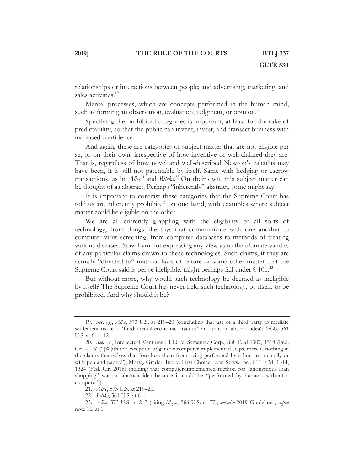relationships or interactions between people; and advertising, marketing, and sales activities.<sup>19</sup>

Mental processes, which are concepts performed in the human mind, such as forming an observation, evaluation, judgment, or opinion.<sup>20</sup>

Specifying the prohibited categories is important, at least for the sake of predictability, so that the public can invent, invest, and transact business with increased confidence.

And again, these are categories of subject matter that are not eligible per se, or on their own, irrespective of how inventive or well-claimed they are. That is, regardless of how novel and well-described Newton's calculus may have been, it is still not patentable by itself. Same with hedging or escrow transactions, as in *Alice*<sup>21</sup> and *Bilski*.<sup>22</sup> On their own, this subject matter can be thought of as abstract. Perhaps "inherently" abstract, some might say.

It is important to contrast these categories that the Supreme Court has told us are inherently prohibited on one hand, with examples where subject matter could be eligible on the other.

We are all currently grappling with the eligibility of all sorts of technology, from things like toys that communicate with one another to computer virus screening, from computer databases to methods of treating various diseases. Now I am not expressing any view as to the ultimate validity of any particular claims drawn to these technologies. Such claims, if they are actually "directed to" math or laws of nature or some other matter that the Supreme Court said is per se ineligible, might perhaps fail under  $\S 101$ <sup>23</sup>

But without more, why would such technology be deemed as ineligible by itself? The Supreme Court has never held such technology, by itself, to be prohibited. And why should it be?

<sup>19.</sup> *See, e.g.*, *Alice*, 573 U.S. at 219–20 (concluding that use of a third party to mediate settlement risk is a "fundamental economic practice" and thus an abstract idea); *Bilski*, 561 U.S. at 611–12.

<sup>20.</sup> *See, e.g.*, Intellectual Ventures I LLC v. Symantec Corp., 838 F.3d 1307, 1318 (Fed. Cir. 2016) (''[W]ith the exception of generic computer-implemented steps, there is nothing in the claims themselves that foreclose them from being performed by a human, mentally or with pen and paper.''); Mortg. Grader, Inc. v. First Choice Loan Servs. Inc., 811 F.3d. 1314, 1324 (Fed. Cir. 2016) (holding that computer-implemented method for ''anonymous loan shopping'' was an abstract idea because it could be ''performed by humans without a computer'').

<sup>21.</sup> *Alice*, 573 U.S. at 219–20.

<sup>22.</sup> *Bilski*, 561 U.S. at 611.

<sup>23.</sup> *Alice*, 573 U.S. at 217 (citing *Mayo*, 566 U.S. at 77); *see also* 2019 Guidelines, *supra* note 16, at 1.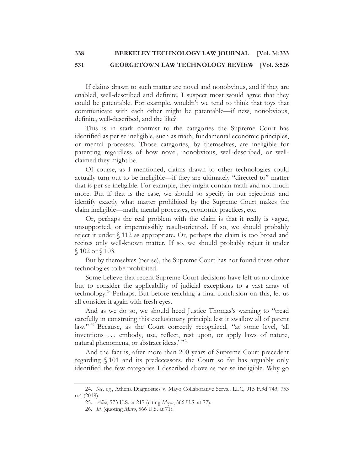If claims drawn to such matter are novel and nonobvious, and if they are enabled, well-described and definite, I suspect most would agree that they could be patentable. For example, wouldn't we tend to think that toys that communicate with each other might be patentable—if new, nonobvious, definite, well-described, and the like?

This is in stark contrast to the categories the Supreme Court has identified as per se ineligible, such as math, fundamental economic principles, or mental processes. Those categories, by themselves, are ineligible for patenting regardless of how novel, nonobvious, well-described, or wellclaimed they might be.

Of course, as I mentioned, claims drawn to other technologies could actually turn out to be ineligible—if they are ultimately "directed to" matter that is per se ineligible. For example, they might contain math and not much more. But if that is the case, we should so specify in our rejections and identify exactly what matter prohibited by the Supreme Court makes the claim ineligible—math, mental processes, economic practices, etc.

Or, perhaps the real problem with the claim is that it really is vague, unsupported, or impermissibly result-oriented. If so, we should probably reject it under § 112 as appropriate. Or, perhaps the claim is too broad and recites only well-known matter. If so, we should probably reject it under § 102 or § 103.

But by themselves (per se), the Supreme Court has not found these other technologies to be prohibited.

Some believe that recent Supreme Court decisions have left us no choice but to consider the applicability of judicial exceptions to a vast array of technology.24 Perhaps. But before reaching a final conclusion on this, let us all consider it again with fresh eyes.

And as we do so, we should heed Justice Thomas's warning to "tread carefully in construing this exclusionary principle lest it swallow all of patent law."<sup>25</sup> Because, as the Court correctly recognized, "at some level, 'all inventions ... embody, use, reflect, rest upon, or apply laws of nature, natural phenomena, or abstract ideas.' "26

And the fact is, after more than 200 years of Supreme Court precedent regarding § 101 and its predecessors, the Court so far has arguably only identified the few categories I described above as per se ineligible. Why go

<sup>24.</sup> *See, e.g.*, Athena Diagnostics v. Mayo Collaborative Servs., LLC, 915 F.3d 743, 753 n.4 (2019).

<sup>25.</sup> *Alice*, 573 U.S. at 217 (citing *Mayo*, 566 U.S. at 77).

<sup>26.</sup> *Id.* (quoting *Mayo*, 566 U.S. at 71).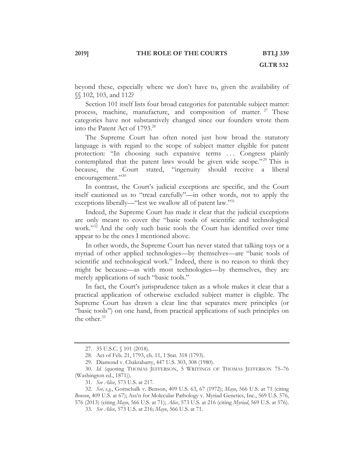#### **2019] THE ROLE OF THE COURTS BTLJ 339**

beyond these, especially where we don't have to, given the availability of §§ 102, 103, and 112?

Section 101 itself lists four broad categories for patentable subject matter: process, machine, manufacture, and composition of matter. <sup>27</sup> These categories have not substantively changed since our founders wrote them into the Patent Act of 1793.<sup>28</sup>

The Supreme Court has often noted just how broad the statutory language is with regard to the scope of subject matter eligible for patent protection: "In choosing such expansive terms ... Congress plainly contemplated that the patent laws would be given wide scope."<sup>29</sup> This is because, the Court stated, "ingenuity should receive a liberal encouragement."30

In contrast, the Court's judicial exceptions are specific, and the Court itself cautioned us to "tread carefully"—in other words, not to apply the exceptions liberally—"lest we swallow all of patent law."<sup>31</sup>

Indeed, the Supreme Court has made it clear that the judicial exceptions are only meant to cover the "basic tools of scientific and technological work."32 And the only such basic tools the Court has identified over time appear to be the ones I mentioned above.

In other words, the Supreme Court has never stated that talking toys or a myriad of other applied technologies—by themselves—are "basic tools of scientific and technological work." Indeed, there is no reason to think they might be because—as with most technologies—by themselves, they are merely applications of such "basic tools."

In fact, the Court's jurisprudence taken as a whole makes it clear that a practical application of otherwise excluded subject matter is eligible. The Supreme Court has drawn a clear line that separates mere principles (or "basic tools") on one hand, from practical applications of such principles on the other.<sup>33</sup>

<sup>27. 35</sup> U.S.C. § 101 (2018).

<sup>28.</sup> Act of Feb. 21, 1793, ch. 11, 1 Stat. 318 (1793).

<sup>29.</sup> Diamond v. Chakrabarty, 447 U.S. 303, 308 (1980).

<sup>30.</sup> *Id.* (quoting THOMAS JEFFERSON, 5 WRITINGS OF THOMAS JEFFERSON 75–76 (Washington ed., 1871)).

<sup>31.</sup> *See Alice*, 573 U.S. at 217.

<sup>32.</sup> *See, e.g.*, Gottschalk v. Benson, 409 U.S. 63, 67 (1972); *Mayo*, 566 U.S. at 71 (citing *Benson*, 409 U.S. at 67); Ass'n for Molecular Pathology v. Myriad Genetics, Inc., 569 U.S. 576, 576 (2013) (citing *Mayo*, 566 U.S. at 71); *Alice*, 573 U.S. at 216 (citing *Myriad*, 569 U.S. at 576).

<sup>33.</sup> *See Alice*, 573 U.S. at 216; *Mayo*, 566 U.S. at 71.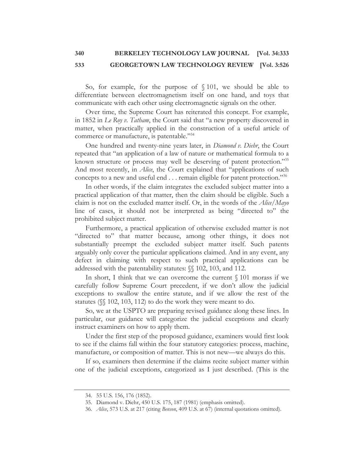So, for example, for the purpose of § 101, we should be able to differentiate between electromagnetism itself on one hand, and toys that communicate with each other using electromagnetic signals on the other.

Over time, the Supreme Court has reiterated this concept. For example, in 1852 in *Le Roy v. Tatham*, the Court said that "a new property discovered in matter, when practically applied in the construction of a useful article of commerce or manufacture, is patentable."<sup>34</sup>

One hundred and twenty-nine years later, in *Diamond v. Diehr*, the Court repeated that "an application of a law of nature or mathematical formula to a known structure or process may well be deserving of patent protection."<sup>35</sup> And most recently, in *Alice*, the Court explained that "applications of such concepts to a new and useful end  $\dots$  remain eligible for patent protection."<sup>36</sup>

In other words, if the claim integrates the excluded subject matter into a practical application of that matter, then the claim should be eligible. Such a claim is not on the excluded matter itself. Or, in the words of the *Alice*/*Mayo* line of cases, it should not be interpreted as being "directed to" the prohibited subject matter.

Furthermore, a practical application of otherwise excluded matter is not "directed to" that matter because, among other things, it does not substantially preempt the excluded subject matter itself. Such patents arguably only cover the particular applications claimed. And in any event, any defect in claiming with respect to such practical applications can be addressed with the patentability statutes: §§ 102, 103, and 112.

In short, I think that we can overcome the current  $\S 101$  morass if we carefully follow Supreme Court precedent, if we don't allow the judicial exceptions to swallow the entire statute, and if we allow the rest of the statutes (§§ 102, 103, 112) to do the work they were meant to do.

So, we at the USPTO are preparing revised guidance along these lines. In particular, our guidance will categorize the judicial exceptions and clearly instruct examiners on how to apply them.

Under the first step of the proposed guidance, examiners would first look to see if the claims fall within the four statutory categories: process, machine, manufacture, or composition of matter. This is not new—we always do this.

If so, examiners then determine if the claims recite subject matter within one of the judicial exceptions, categorized as I just described. (This is the

<sup>34. 55</sup> U.S. 156, 176 (1852).

<sup>35.</sup> Diamond v. Diehr, 450 U.S. 175, 187 (1981) (emphasis omitted).

<sup>36.</sup> *Alice*, 573 U.S. at 217 (citing *Benson*, 409 U.S. at 67) (internal quotations omitted).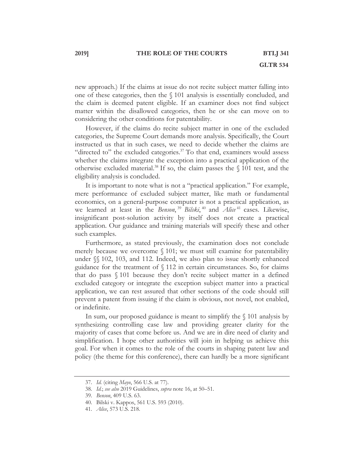new approach.) If the claims at issue do not recite subject matter falling into one of these categories, then the § 101 analysis is essentially concluded, and the claim is deemed patent eligible. If an examiner does not find subject matter within the disallowed categories, then he or she can move on to considering the other conditions for patentability.

However, if the claims do recite subject matter in one of the excluded categories, the Supreme Court demands more analysis. Specifically, the Court instructed us that in such cases, we need to decide whether the claims are "directed to" the excluded categories. $37$  To that end, examiners would assess whether the claims integrate the exception into a practical application of the otherwise excluded material.<sup>38</sup> If so, the claim passes the  $\sqrt{101}$  test, and the eligibility analysis is concluded.

It is important to note what is not a "practical application." For example, mere performance of excluded subject matter, like math or fundamental economics, on a general-purpose computer is not a practical application, as we learned at least in the *Benson*, <sup>39</sup> *Bilski*, <sup>40</sup> and *Alice*<sup>41</sup> cases. Likewise, insignificant post-solution activity by itself does not create a practical application. Our guidance and training materials will specify these and other such examples.

Furthermore, as stated previously, the examination does not conclude merely because we overcome § 101; we must still examine for patentability under  $\sqrt{\ }$  102, 103, and 112. Indeed, we also plan to issue shortly enhanced guidance for the treatment of § 112 in certain circumstances. So, for claims that do pass § 101 because they don't recite subject matter in a defined excluded category or integrate the exception subject matter into a practical application, we can rest assured that other sections of the code should still prevent a patent from issuing if the claim is obvious, not novel, not enabled, or indefinite.

In sum, our proposed guidance is meant to simplify the  $\S$  101 analysis by synthesizing controlling case law and providing greater clarity for the majority of cases that come before us. And we are in dire need of clarity and simplification. I hope other authorities will join in helping us achieve this goal. For when it comes to the role of the courts in shaping patent law and policy (the theme for this conference), there can hardly be a more significant

<sup>37.</sup> *Id.* (citing *Mayo*, 566 U.S. at 77).

<sup>38.</sup> *Id.*; *see also* 2019 Guidelines, *supra* note 16, at 50–51.

<sup>39.</sup> *Benson*, 409 U.S. 63.

<sup>40.</sup> Bilski v. Kappos, 561 U.S. 593 (2010).

<sup>41.</sup> *Alice*, 573 U.S. 218.